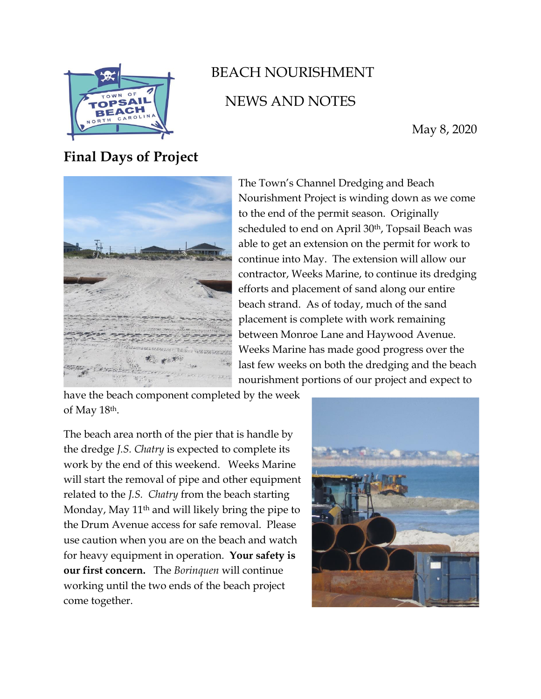

## BEACH NOURISHMENT NEWS AND NOTES

May 8, 2020

**Final Days of Project**



The Town's Channel Dredging and Beach Nourishment Project is winding down as we come to the end of the permit season. Originally scheduled to end on April 30<sup>th</sup>, Topsail Beach was able to get an extension on the permit for work to continue into May. The extension will allow our contractor, Weeks Marine, to continue its dredging efforts and placement of sand along our entire beach strand. As of today, much of the sand placement is complete with work remaining between Monroe Lane and Haywood Avenue. Weeks Marine has made good progress over the last few weeks on both the dredging and the beach nourishment portions of our project and expect to

have the beach component completed by the week of May 18th.

The beach area north of the pier that is handle by the dredge *J.S. Chatry* is expected to complete its work by the end of this weekend. Weeks Marine will start the removal of pipe and other equipment related to the *J.S. Chatry* from the beach starting Monday, May 11<sup>th</sup> and will likely bring the pipe to the Drum Avenue access for safe removal. Please use caution when you are on the beach and watch for heavy equipment in operation. **Your safety is our first concern.** The *Borinquen* will continue working until the two ends of the beach project come together.

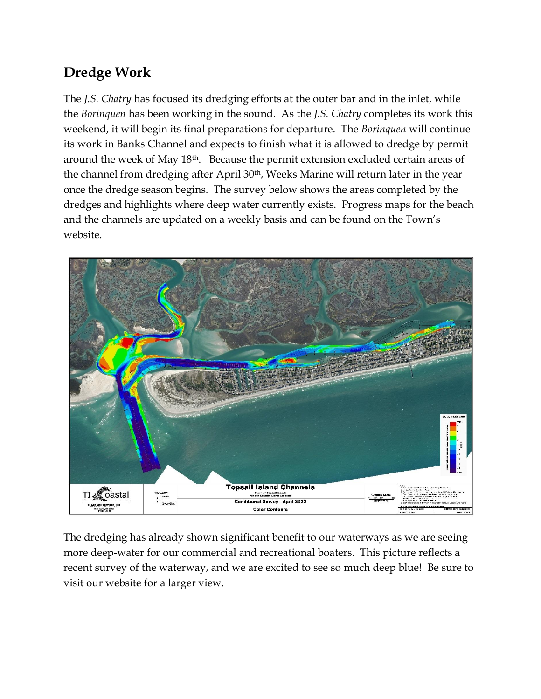## **Dredge Work**

The *J.S. Chatry* has focused its dredging efforts at the outer bar and in the inlet, while the *Borinquen* has been working in the sound. As the *J.S. Chatry* completes its work this weekend, it will begin its final preparations for departure. The *Borinquen* will continue its work in Banks Channel and expects to finish what it is allowed to dredge by permit around the week of May 18th. Because the permit extension excluded certain areas of the channel from dredging after April 30th, Weeks Marine will return later in the year once the dredge season begins. The survey below shows the areas completed by the dredges and highlights where deep water currently exists. Progress maps for the beach and the channels are updated on a weekly basis and can be found on the Town's website.



The dredging has already shown significant benefit to our waterways as we are seeing more deep-water for our commercial and recreational boaters. This picture reflects a recent survey of the waterway, and we are excited to see so much deep blue! Be sure to visit our website for a larger view.